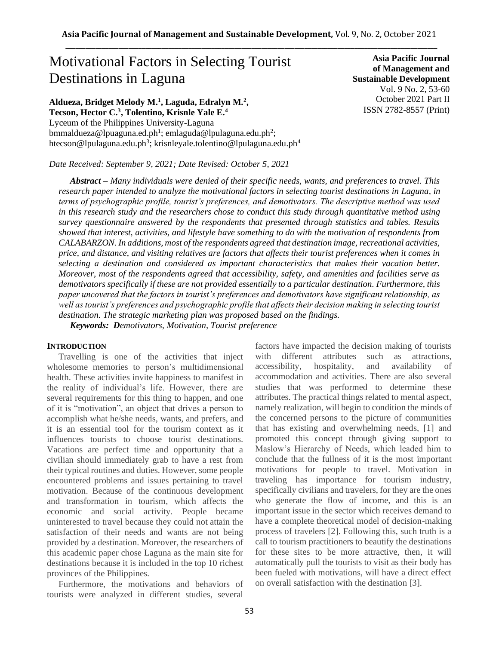# Motivational Factors in Selecting Tourist Destinations in Laguna

**Aldueza, Bridget Melody M.<sup>1</sup> , Laguda, Edralyn M.<sup>2</sup> , Tecson, Hector C. 3 , Tolentino, Krisnle Yale E.<sup>4</sup>** Lyceum of the Philippines University-Laguna bmmaldueza@lpuaguna.ed.ph<sup>1</sup>; emlaguda@lpulaguna.edu.ph<sup>2</sup>; htecson@lpulaguna.edu.ph<sup>3</sup>; krisnleyale.tolentino@lpulaguna.edu.ph<sup>4</sup>

*Date Received: September 9, 2021; Date Revised: October 5, 2021*

**Asia Pacific Journal of Management and Sustainable Development**  Vol. 9 No. 2, 53-60 October 2021 Part II ISSN 2782-8557 (Print)

*Abstract – Many individuals were denied of their specific needs, wants, and preferences to travel. This research paper intended to analyze the motivational factors in selecting tourist destinations in Laguna, in terms of psychographic profile, tourist's preferences, and demotivators. The descriptive method was used in this research study and the researchers chose to conduct this study through quantitative method using survey questionnaire answered by the respondents that presented through statistics and tables. Results showed that interest, activities, and lifestyle have something to do with the motivation of respondents from CALABARZON. In additions, most of the respondents agreed that destination image, recreational activities, price, and distance, and visiting relatives are factors that affects their tourist preferences when it comes in selecting a destination and considered as important characteristics that makes their vacation better. Moreover, most of the respondents agreed that accessibility, safety, and amenities and facilities serve as demotivators specifically if these are not provided essentially to a particular destination. Furthermore, this paper uncovered that the factors in tourist's preferences and demotivators have significant relationship, as*  well as tourist's preferences and psychographic profile that affects their decision making in selecting tourist *destination. The strategic marketing plan was proposed based on the findings.*

*Keywords: Demotivators, Motivation, Tourist preference*

## **INTRODUCTION**

Travelling is one of the activities that inject wholesome memories to person's multidimensional health. These activities invite happiness to manifest in the reality of individual's life. However, there are several requirements for this thing to happen, and one of it is "motivation", an object that drives a person to accomplish what he/she needs, wants, and prefers, and it is an essential tool for the tourism context as it influences tourists to choose tourist destinations. Vacations are perfect time and opportunity that a civilian should immediately grab to have a rest from their typical routines and duties. However, some people encountered problems and issues pertaining to travel motivation. Because of the continuous development and transformation in tourism, which affects the economic and social activity. People became uninterested to travel because they could not attain the satisfaction of their needs and wants are not being provided by a destination. Moreover, the researchers of this academic paper chose Laguna as the main site for destinations because it is included in the top 10 richest provinces of the Philippines.

Furthermore, the motivations and behaviors of tourists were analyzed in different studies, several

factors have impacted the decision making of tourists with different attributes such as attractions, accessibility, hospitality, and availability of accommodation and activities. There are also several studies that was performed to determine these attributes. The practical things related to mental aspect, namely realization, will begin to condition the minds of the concerned persons to the picture of communities that has existing and overwhelming needs, [1] and promoted this concept through giving support to Maslow's Hierarchy of Needs, which leaded him to conclude that the fullness of it is the most important motivations for people to travel. Motivation in traveling has importance for tourism industry, specifically civilians and travelers, for they are the ones who generate the flow of income, and this is an important issue in the sector which receives demand to have a complete theoretical model of decision-making process of travelers [2]. Following this, such truth is a call to tourism practitioners to beautify the destinations for these sites to be more attractive, then, it will automatically pull the tourists to visit as their body has been fueled with motivations, will have a direct effect on overall satisfaction with the destination [3].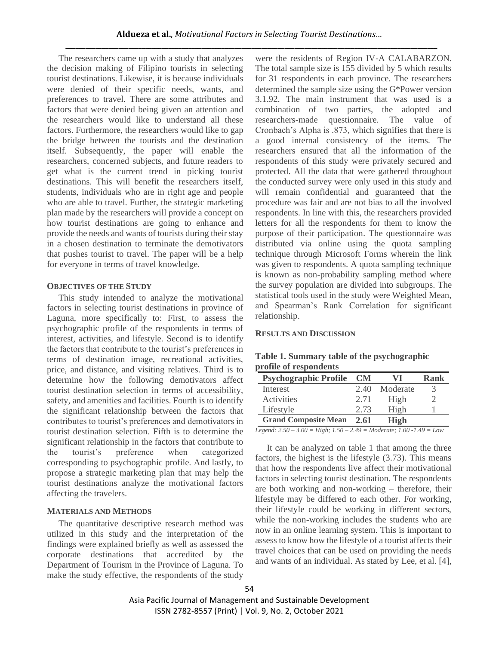The researchers came up with a study that analyzes the decision making of Filipino tourists in selecting tourist destinations. Likewise, it is because individuals were denied of their specific needs, wants, and preferences to travel. There are some attributes and factors that were denied being given an attention and the researchers would like to understand all these factors. Furthermore, the researchers would like to gap the bridge between the tourists and the destination itself. Subsequently, the paper will enable the researchers, concerned subjects, and future readers to get what is the current trend in picking tourist destinations. This will benefit the researchers itself, students, individuals who are in right age and people who are able to travel. Further, the strategic marketing plan made by the researchers will provide a concept on how tourist destinations are going to enhance and provide the needs and wants of tourists during their stay in a chosen destination to terminate the demotivators that pushes tourist to travel. The paper will be a help for everyone in terms of travel knowledge.

## **OBJECTIVES OF THE STUDY**

This study intended to analyze the motivational factors in selecting tourist destinations in province of Laguna, more specifically to: First, to assess the psychographic profile of the respondents in terms of interest, activities, and lifestyle. Second is to identify the factors that contribute to the tourist's preferences in terms of destination image, recreational activities, price, and distance, and visiting relatives. Third is to determine how the following demotivators affect tourist destination selection in terms of accessibility, safety, and amenities and facilities. Fourth is to identify the significant relationship between the factors that contributes to tourist's preferences and demotivators in tourist destination selection. Fifth is to determine the significant relationship in the factors that contribute to the tourist's preference when categorized corresponding to psychographic profile. And lastly, to propose a strategic marketing plan that may help the tourist destinations analyze the motivational factors affecting the travelers.

# **MATERIALS AND METHODS**

The quantitative descriptive research method was utilized in this study and the interpretation of the findings were explained briefly as well as assessed the corporate destinations that accredited by the Department of Tourism in the Province of Laguna. To make the study effective, the respondents of the study

were the residents of Region IV-A CALABARZON. The total sample size is 155 divided by 5 which results for 31 respondents in each province. The researchers determined the sample size using the G\*Power version 3.1.92. The main instrument that was used is a combination of two parties, the adopted and researchers-made questionnaire. The value of Cronbach's Alpha is .873, which signifies that there is a good internal consistency of the items. The researchers ensured that all the information of the respondents of this study were privately secured and protected. All the data that were gathered throughout the conducted survey were only used in this study and will remain confidential and guaranteed that the procedure was fair and are not bias to all the involved respondents. In line with this, the researchers provided letters for all the respondents for them to know the purpose of their participation. The questionnaire was distributed via online using the quota sampling technique through Microsoft Forms wherein the link was given to respondents. A quota sampling technique is known as non-probability sampling method where the survey population are divided into subgroups. The statistical tools used in the study were Weighted Mean, and Spearman's Rank Correlation for significant relationship.

# **RESULTS AND DISCUSSION**

| $\sim$ which are $\sim$ weapons to the set of the projection of $\sim$<br>profile of respondents |               |      |
|--------------------------------------------------------------------------------------------------|---------------|------|
| <b>Psychographic Profile CM</b>                                                                  | VI            | Rank |
| Interest                                                                                         | 2.40 Moderate | 3    |
| <b>Activities</b>                                                                                | High          |      |

**Table 1. Summary table of the psychographic** 

| <b>Psychographic Profile CM</b> |      | VI       | Rank |
|---------------------------------|------|----------|------|
| Interest                        | 2.40 | Moderate |      |
| <b>Activities</b>               | 2.71 | High     |      |

*Legend: 2.50 – 3.00 = High; 1.50 – 2.49 = Moderate; 1.00 -1.49 = Low*

Lifestyle 2.73 High 1

**Grand Composite Mean 2.61 High**

It can be analyzed on table 1 that among the three factors, the highest is the lifestyle (3.73). This means that how the respondents live affect their motivational factors in selecting tourist destination. The respondents are both working and non-working – therefore, their lifestyle may be differed to each other. For working, their lifestyle could be working in different sectors, while the non-working includes the students who are now in an online learning system. This is important to assess to know how the lifestyle of a tourist affects their travel choices that can be used on providing the needs and wants of an individual. As stated by Lee, et al. [4],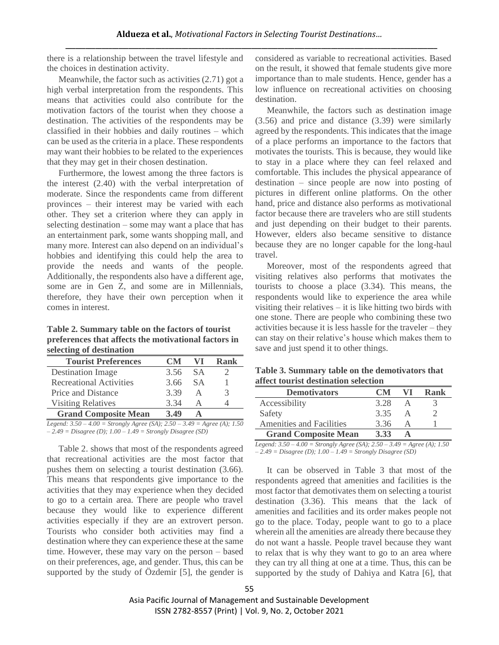there is a relationship between the travel lifestyle and the choices in destination activity.

Meanwhile, the factor such as activities (2.71) got a high verbal interpretation from the respondents. This means that activities could also contribute for the motivation factors of the tourist when they choose a destination. The activities of the respondents may be classified in their hobbies and daily routines – which can be used as the criteria in a place. These respondents may want their hobbies to be related to the experiences that they may get in their chosen destination.

Furthermore, the lowest among the three factors is the interest (2.40) with the verbal interpretation of moderate. Since the respondents came from different provinces – their interest may be varied with each other. They set a criterion where they can apply in selecting destination – some may want a place that has an entertainment park, some wants shopping mall, and many more. Interest can also depend on an individual's hobbies and identifying this could help the area to provide the needs and wants of the people. Additionally, the respondents also have a different age, some are in Gen Z, and some are in Millennials, therefore, they have their own perception when it comes in interest.

**Table 2. Summary table on the factors of tourist preferences that affects the motivational factors in selecting of destination**

| <b>Tourist Preferences</b>                                                                                                                                                                                                                                                                                                                                                                           | $\blacksquare$       | V I                    | Rank              |
|------------------------------------------------------------------------------------------------------------------------------------------------------------------------------------------------------------------------------------------------------------------------------------------------------------------------------------------------------------------------------------------------------|----------------------|------------------------|-------------------|
| <b>Destination Image</b>                                                                                                                                                                                                                                                                                                                                                                             | 3.56                 | <b>SA</b>              |                   |
| <b>Recreational Activities</b>                                                                                                                                                                                                                                                                                                                                                                       | 3.66                 | <b>SA</b>              |                   |
| Price and Distance                                                                                                                                                                                                                                                                                                                                                                                   | 3.39                 | А                      | 3                 |
| <b>Visiting Relatives</b>                                                                                                                                                                                                                                                                                                                                                                            | 3.34                 |                        |                   |
| <b>Grand Composite Mean</b>                                                                                                                                                                                                                                                                                                                                                                          | 3.49                 |                        |                   |
| $\overline{1}$ $\overline{2}$ $\overline{6}$ $\overline{1}$ $\overline{1}$ $\overline{1}$ $\overline{1}$ $\overline{1}$ $\overline{1}$ $\overline{1}$ $\overline{1}$ $\overline{1}$ $\overline{1}$ $\overline{1}$ $\overline{1}$ $\overline{1}$ $\overline{1}$ $\overline{1}$ $\overline{1}$ $\overline{1}$ $\overline{1}$ $\overline{1}$ $\overline{1}$ $\overline{1}$ $\overline{$<br>$\mathbf{r}$ | $\sim$ $\sim$ $\sim$ | 2.40<br>$\overline{a}$ | $(4)$ $7$ $7$ $0$ |

*Legend: 3.50 – 4.00 = Strongly Agree (SA); 2.50 – 3.49 = Agree (A); 1.50 – 2.49 = Disagree (D); 1.00 – 1.49 = Strongly Disagree (SD)*

Table 2. shows that most of the respondents agreed that recreational activities are the most factor that pushes them on selecting a tourist destination (3.66). This means that respondents give importance to the activities that they may experience when they decided to go to a certain area. There are people who travel because they would like to experience different activities especially if they are an extrovert person. Tourists who consider both activities may find a destination where they can experience these at the same time. However, these may vary on the person – based on their preferences, age, and gender. Thus, this can be supported by the study of Özdemir [5], the gender is considered as variable to recreational activities. Based on the result, it showed that female students give more importance than to male students. Hence, gender has a low influence on recreational activities on choosing destination.

Meanwhile, the factors such as destination image (3.56) and price and distance (3.39) were similarly agreed by the respondents. This indicates that the image of a place performs an importance to the factors that motivates the tourists. This is because, they would like to stay in a place where they can feel relaxed and comfortable. This includes the physical appearance of destination – since people are now into posting of pictures in different online platforms. On the other hand, price and distance also performs as motivational factor because there are travelers who are still students and just depending on their budget to their parents. However, elders also became sensitive to distance because they are no longer capable for the long-haul travel.

Moreover, most of the respondents agreed that visiting relatives also performs that motivates the tourists to choose a place (3.34). This means, the respondents would like to experience the area while visiting their relatives  $-$  it is like hitting two birds with one stone. There are people who combining these two activities because it is less hassle for the traveler – they can stay on their relative's house which makes them to save and just spend it to other things.

|                                      | Table 3. Summary table on the demotivators that |
|--------------------------------------|-------------------------------------------------|
| affect tourist destination selection |                                                 |

| <b>Demotivators</b>             | $\blacksquare$ | VI | Rank |
|---------------------------------|----------------|----|------|
| Accessibility                   | 3.28           |    |      |
| Safety                          | 335            |    |      |
| <b>Amenities and Facilities</b> | 3.36           |    |      |
| <b>Grand Composite Mean</b>     | 3.33           |    |      |

*Legend: 3.50 – 4.00 = Strongly Agree (SA); 2.50 – 3.49 = Agree (A); 1.50 – 2.49 = Disagree (D); 1.00 – 1.49 = Strongly Disagree (SD)*

It can be observed in Table 3 that most of the respondents agreed that amenities and facilities is the most factor that demotivates them on selecting a tourist destination (3.36). This means that the lack of amenities and facilities and its order makes people not go to the place. Today, people want to go to a place wherein all the amenities are already there because they do not want a hassle. People travel because they want to relax that is why they want to go to an area where they can try all thing at one at a time. Thus, this can be supported by the study of Dahiya and Katra [6], that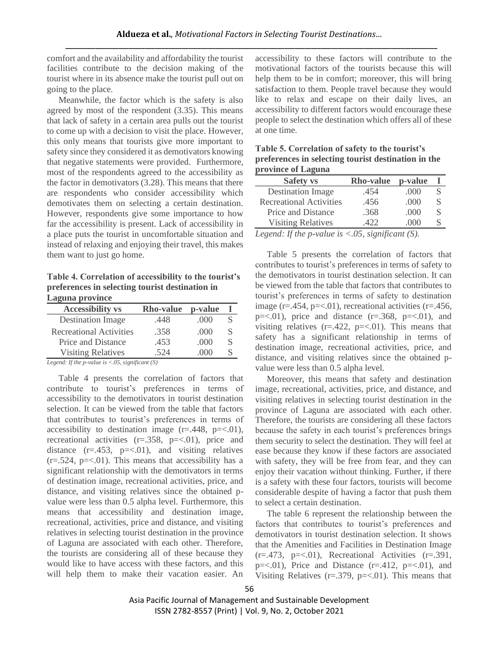comfort and the availability and affordability the tourist facilities contribute to the decision making of the tourist where in its absence make the tourist pull out on going to the place.

Meanwhile, the factor which is the safety is also agreed by most of the respondent (3.35). This means that lack of safety in a certain area pulls out the tourist to come up with a decision to visit the place. However, this only means that tourists give more important to safety since they considered it as demotivators knowing that negative statements were provided. Furthermore, most of the respondents agreed to the accessibility as the factor in demotivators (3.28). This means that there are respondents who consider accessibility which demotivates them on selecting a certain destination. However, respondents give some importance to how far the accessibility is present. Lack of accessibility in a place puts the tourist in uncomfortable situation and instead of relaxing and enjoying their travel, this makes them want to just go home.

**Table 4. Correlation of accessibility to the tourist's preferences in selecting tourist destination in Laguna province**

| <b>Accessibility vs</b>        | <b>Rho-value</b> | p-value     |   |
|--------------------------------|------------------|-------------|---|
| <b>Destination Image</b>       | .448             | (000)       | S |
| <b>Recreational Activities</b> | .358             | (000)       | S |
| Price and Distance             | .453             | .000        | S |
| <b>Visiting Relatives</b>      | 524              | $($ )( )( ) |   |

*Legend: If the p-value is <.05, significant (S)*

Table 4 presents the correlation of factors that contribute to tourist's preferences in terms of accessibility to the demotivators in tourist destination selection. It can be viewed from the table that factors that contributes to tourist's preferences in terms of accessibility to destination image  $(r=.448, p=<.01)$ , recreational activities  $(r=.358, p=<.01)$ , price and distance  $(r=.453, p=<.01)$ , and visiting relatives  $(r=.524, p=<.01)$ . This means that accessibility has a significant relationship with the demotivators in terms of destination image, recreational activities, price, and distance, and visiting relatives since the obtained pvalue were less than 0.5 alpha level. Furthermore, this means that accessibility and destination image, recreational, activities, price and distance, and visiting relatives in selecting tourist destination in the province of Laguna are associated with each other. Therefore, the tourists are considering all of these because they would like to have access with these factors, and this will help them to make their vacation easier. An

accessibility to these factors will contribute to the motivational factors of the tourists because this will help them to be in comfort; moreover, this will bring satisfaction to them. People travel because they would like to relax and escape on their daily lives, an accessibility to different factors would encourage these people to select the destination which offers all of these at one time.

| province of Laguna             |                  |             |   |
|--------------------------------|------------------|-------------|---|
| <b>Safety vs</b>               | <b>Rho-value</b> | p-value     |   |
| <b>Destination Image</b>       | .454             | .000        | S |
| <b>Recreational Activities</b> | .456             | .000        | S |
| Price and Distance             | .368             | .000        | S |
| <b>Visiting Relatives</b>      | 422              | ( ) ( ) ( ) | S |

**Table 5. Correlation of safety to the tourist's preferences in selecting tourist destination in the** 

*Legend: If the p-value is <.05, significant (S).* 

Table 5 presents the correlation of factors that contributes to tourist's preferences in terms of safety to the demotivators in tourist destination selection. It can be viewed from the table that factors that contributes to tourist's preferences in terms of safety to destination image ( $r = .454$ ,  $p = < .01$ ), recreational activities ( $r = .456$ ,  $p=<.01$ ), price and distance ( $r=.368$ ,  $p=<.01$ ), and visiting relatives  $(r=.422, p=<.01)$ . This means that safety has a significant relationship in terms of destination image, recreational activities, price, and distance, and visiting relatives since the obtained pvalue were less than 0.5 alpha level.

Moreover, this means that safety and destination image, recreational, activities, price, and distance, and visiting relatives in selecting tourist destination in the province of Laguna are associated with each other. Therefore, the tourists are considering all these factors because the safety in each tourist's preferences brings them security to select the destination. They will feel at ease because they know if these factors are associated with safety, they will be free from fear, and they can enjoy their vacation without thinking. Further, if there is a safety with these four factors, tourists will become considerable despite of having a factor that push them to select a certain destination.

The table 6 represent the relationship between the factors that contributes to tourist's preferences and demotivators in tourist destination selection. It shows that the Amenities and Facilities in Destination Image  $(r=.473, p=<.01)$ , Recreational Activities  $(r=.391,$  $p = 0.01$ , Price and Distance ( $r = 0.412$ ,  $p = 0.01$ ), and Visiting Relatives ( $r = .379$ ,  $p = < .01$ ). This means that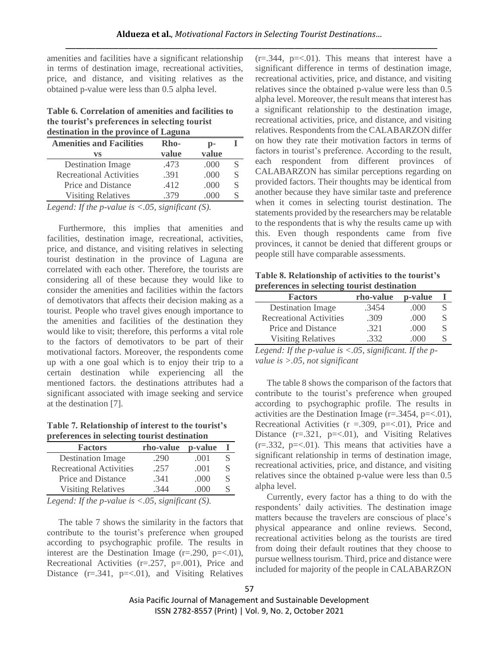amenities and facilities have a significant relationship in terms of destination image, recreational activities, price, and distance, and visiting relatives as the obtained p-value were less than 0.5 alpha level.

**Table 6. Correlation of amenities and facilities to the tourist's preferences in selecting tourist destination in the province of Laguna**

| <b>Amenities and Facilities</b> | Rho-  | $\mathbf{p}$ - |   |
|---------------------------------|-------|----------------|---|
| vs                              | value | value          |   |
| <b>Destination Image</b>        | .473  | .000           | S |
| <b>Recreational Activities</b>  | .391  | .000           | S |
| Price and Distance              | .412  | .000           | S |
| <b>Visiting Relatives</b>       | 379   | ( ) ( ) ( )    |   |

*Legend: If the p-value is <.05, significant (S).*

Furthermore, this implies that amenities and facilities, destination image, recreational, activities, price, and distance, and visiting relatives in selecting tourist destination in the province of Laguna are correlated with each other. Therefore, the tourists are considering all of these because they would like to consider the amenities and facilities within the factors of demotivators that affects their decision making as a tourist. People who travel gives enough importance to the amenities and facilities of the destination they would like to visit; therefore, this performs a vital role to the factors of demotivators to be part of their motivational factors. Moreover, the respondents come up with a one goal which is to enjoy their trip to a certain destination while experiencing all the mentioned factors. the destinations attributes had a significant associated with image seeking and service at the destination [7].

**Table 7. Relationship of interest to the tourist's preferences in selecting tourist destination**

| <b>Factors</b>                 | rho-value | p-value |   |
|--------------------------------|-----------|---------|---|
| <b>Destination Image</b>       | .290      | .001    |   |
| <b>Recreational Activities</b> | .257      | .001    | S |
| Price and Distance             | .341      | .000    | S |
| <b>Visiting Relatives</b>      | 344       | (000)   |   |

*Legend: If the p-value is <.05, significant (S).* 

The table 7 shows the similarity in the factors that contribute to the tourist's preference when grouped according to psychographic profile. The results in interest are the Destination Image  $(r=.290, p=<.01)$ , Recreational Activities (r=.257, p=.001), Price and Distance  $(r=.341, p=<.01)$ , and Visiting Relatives  $(r=.344, p=<.01)$ . This means that interest have a significant difference in terms of destination image, recreational activities, price, and distance, and visiting relatives since the obtained p-value were less than 0.5 alpha level. Moreover, the result means that interest has a significant relationship to the destination image, recreational activities, price, and distance, and visiting relatives. Respondents from the CALABARZON differ on how they rate their motivation factors in terms of factors in tourist's preference. According to the result, each respondent from different provinces of CALABARZON has similar perceptions regarding on provided factors. Their thoughts may be identical from another because they have similar taste and preference when it comes in selecting tourist destination. The statements provided by the researchers may be relatable to the respondents that is why the results came up with this. Even though respondents came from five provinces, it cannot be denied that different groups or people still have comparable assessments.

**Table 8. Relationship of activities to the tourist's preferences in selecting tourist destination**

| <b>Factors</b>                 | rho-value | p-value |   |
|--------------------------------|-----------|---------|---|
| <b>Destination Image</b>       | .3454     | .000    | S |
| <b>Recreational Activities</b> | .309      | (000)   | S |
| Price and Distance             | .321      | (000)   | S |
| <b>Visiting Relatives</b>      | 332.      |         |   |
|                                |           |         |   |

*Legend: If the p-value is <.05, significant. If the pvalue is >.05, not significant*

The table 8 shows the comparison of the factors that contribute to the tourist's preference when grouped according to psychographic profile. The results in activities are the Destination Image  $(r=.3454, p=<.01)$ , Recreational Activities ( $r = .309$ ,  $p = < .01$ ), Price and Distance  $(r=.321, p=<.01)$ , and Visiting Relatives  $(r=.332, p=<.01)$ . This means that activities have a significant relationship in terms of destination image, recreational activities, price, and distance, and visiting relatives since the obtained p-value were less than 0.5 alpha level.

Currently, every factor has a thing to do with the respondents' daily activities. The destination image matters because the travelers are conscious of place's physical appearance and online reviews. Second, recreational activities belong as the tourists are tired from doing their default routines that they choose to pursue wellness tourism. Third, price and distance were included for majority of the people in CALABARZON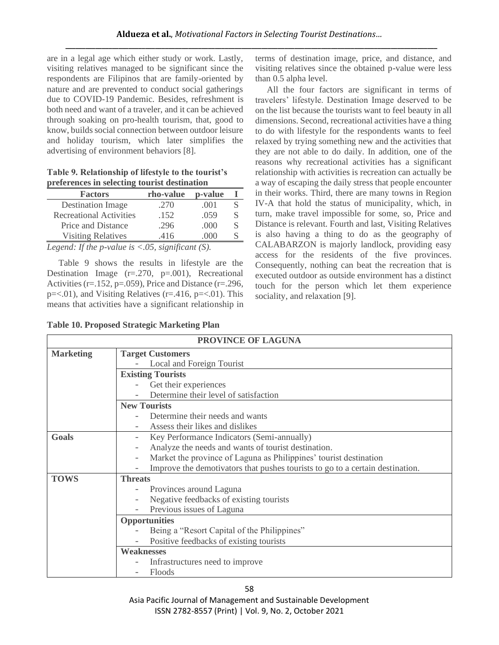are in a legal age which either study or work. Lastly, visiting relatives managed to be significant since the respondents are Filipinos that are family-oriented by nature and are prevented to conduct social gatherings due to COVID-19 Pandemic. Besides, refreshment is both need and want of a traveler, and it can be achieved through soaking on pro-health tourism, that, good to know, builds social connection between outdoor leisure and holiday tourism, which later simplifies the advertising of environment behaviors [8].

**Table 9. Relationship of lifestyle to the tourist's preferences in selecting tourist destination**

| <b>Factors</b>                 | rho-value | p-value     |   |
|--------------------------------|-----------|-------------|---|
| <b>Destination Image</b>       | .270      | .001        | S |
| <b>Recreational Activities</b> | .152      | .059        | S |
| Price and Distance             | .296      | (000)       | S |
| <b>Visiting Relatives</b>      | 416       | ( ) ( ) ( ) | S |

*Legend: If the p-value is <.05, significant (S).*

Table 9 shows the results in lifestyle are the Destination Image (r=.270, p=.001), Recreational Activities (r=.152, p=.059), Price and Distance (r=.296,  $p = 0.01$ , and Visiting Relatives ( $r = 0.416$ ,  $p = 0.01$ ). This means that activities have a significant relationship in

**Table 10. Proposed Strategic Marketing Plan**

terms of destination image, price, and distance, and visiting relatives since the obtained p-value were less than 0.5 alpha level.

All the four factors are significant in terms of travelers' lifestyle. Destination Image deserved to be on the list because the tourists want to feel beauty in all dimensions. Second, recreational activities have a thing to do with lifestyle for the respondents wants to feel relaxed by trying something new and the activities that they are not able to do daily. In addition, one of the reasons why recreational activities has a significant relationship with activities is recreation can actually be a way of escaping the daily stress that people encounter in their works. Third, there are many towns in Region IV-A that hold the status of municipality, which, in turn, make travel impossible for some, so, Price and Distance is relevant. Fourth and last, Visiting Relatives is also having a thing to do as the geography of CALABARZON is majorly landlock, providing easy access for the residents of the five provinces. Consequently, nothing can beat the recreation that is executed outdoor as outside environment has a distinct touch for the person which let them experience sociality, and relaxation [9].

|                  | PROVINCE OF LAGUNA                                                            |
|------------------|-------------------------------------------------------------------------------|
| <b>Marketing</b> | <b>Target Customers</b>                                                       |
|                  | Local and Foreign Tourist                                                     |
|                  | <b>Existing Tourists</b>                                                      |
|                  | Get their experiences                                                         |
|                  | Determine their level of satisfaction                                         |
|                  | <b>New Tourists</b>                                                           |
|                  | Determine their needs and wants                                               |
|                  | Assess their likes and dislikes                                               |
| Goals            | Key Performance Indicators (Semi-annually)                                    |
|                  | Analyze the needs and wants of tourist destination.                           |
|                  | Market the province of Laguna as Philippines' tourist destination             |
|                  | Improve the demotivators that pushes tourists to go to a certain destination. |
| <b>TOWS</b>      | <b>Threats</b>                                                                |
|                  | Provinces around Laguna                                                       |
|                  | Negative feedbacks of existing tourists                                       |
|                  | Previous issues of Laguna                                                     |
|                  | <b>Opportunities</b>                                                          |
|                  | Being a "Resort Capital of the Philippines"                                   |
|                  | Positive feedbacks of existing tourists                                       |
|                  | <b>Weaknesses</b>                                                             |
|                  | Infrastructures need to improve                                               |
|                  | Floods                                                                        |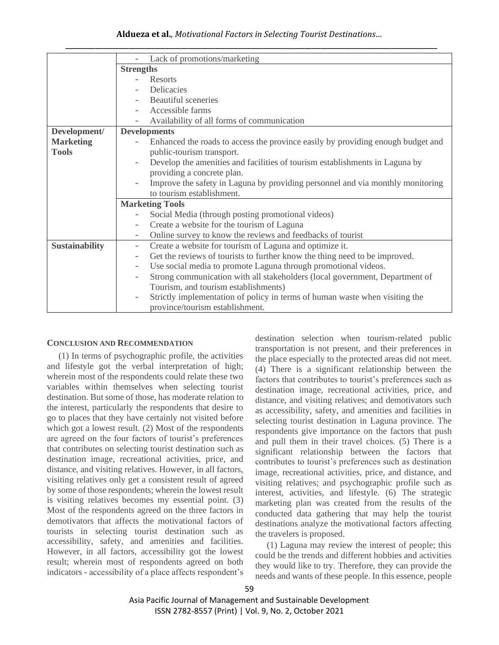## **Aldueza et al.**, *Motivational Factors in Selecting Tourist Destinations…*

|                       | Lack of promotions/marketing                                                                            |
|-----------------------|---------------------------------------------------------------------------------------------------------|
|                       | <b>Strengths</b>                                                                                        |
|                       | <b>Resorts</b>                                                                                          |
|                       | Delicacies                                                                                              |
|                       | <b>Beautiful</b> sceneries                                                                              |
|                       | Accessible farms                                                                                        |
|                       | Availability of all forms of communication                                                              |
| Development/          | <b>Developments</b>                                                                                     |
| <b>Marketing</b>      | Enhanced the roads to access the province easily by providing enough budget and                         |
| <b>Tools</b>          | public-tourism transport.                                                                               |
|                       | Develop the amenities and facilities of tourism establishments in Laguna by                             |
|                       | providing a concrete plan.                                                                              |
|                       | Improve the safety in Laguna by providing personnel and via monthly monitoring                          |
|                       | to tourism establishment.                                                                               |
|                       | <b>Marketing Tools</b>                                                                                  |
|                       | Social Media (through posting promotional videos)                                                       |
|                       | Create a website for the tourism of Laguna<br>$\overline{\phantom{0}}$                                  |
|                       | Online survey to know the reviews and feedbacks of tourist<br>-                                         |
| <b>Sustainability</b> | Create a website for tourism of Laguna and optimize it.<br>$\overline{\phantom{0}}$                     |
|                       | Get the reviews of tourists to further know the thing need to be improved.                              |
|                       | Use social media to promote Laguna through promotional videos.                                          |
|                       | Strong communication with all stakeholders (local government, Department of<br>$\overline{\phantom{0}}$ |
|                       | Tourism, and tourism establishments)                                                                    |
|                       | Strictly implementation of policy in terms of human waste when visiting the<br>$\overline{\phantom{0}}$ |
|                       | province/tourism establishment.                                                                         |

#### **CONCLUSION AND RECOMMENDATION**

(1) In terms of psychographic profile, the activities and lifestyle got the verbal interpretation of high; wherein most of the respondents could relate these two variables within themselves when selecting tourist destination. But some of those, has moderate relation to the interest, particularly the respondents that desire to go to places that they have certainly not visited before which got a lowest result. (2) Most of the respondents are agreed on the four factors of tourist's preferences that contributes on selecting tourist destination such as destination image, recreational activities, price, and distance, and visiting relatives. However, in all factors, visiting relatives only get a consistent result of agreed by some of those respondents; wherein the lowest result is visiting relatives becomes my essential point. (3) Most of the respondents agreed on the three factors in demotivators that affects the motivational factors of tourists in selecting tourist destination such as accessibility, safety, and amenities and facilities. However, in all factors, accessibility got the lowest result; wherein most of respondents agreed on both indicators - accessibility of a place affects respondent's destination selection when tourism-related public transportation is not present, and their preferences in the place especially to the protected areas did not meet. (4) There is a significant relationship between the factors that contributes to tourist's preferences such as destination image, recreational activities, price, and distance, and visiting relatives; and demotivators such as accessibility, safety, and amenities and facilities in selecting tourist destination in Laguna province. The respondents give importance on the factors that push and pull them in their travel choices. (5) There is a significant relationship between the factors that contributes to tourist's preferences such as destination image, recreational activities, price, and distance, and visiting relatives; and psychographic profile such as interest, activities, and lifestyle. (6) The strategic marketing plan was created from the results of the conducted data gathering that may help the tourist destinations analyze the motivational factors affecting the travelers is proposed.

(1) Laguna may review the interest of people; this could be the trends and different hobbies and activities they would like to try. Therefore, they can provide the needs and wants of these people. In this essence, people